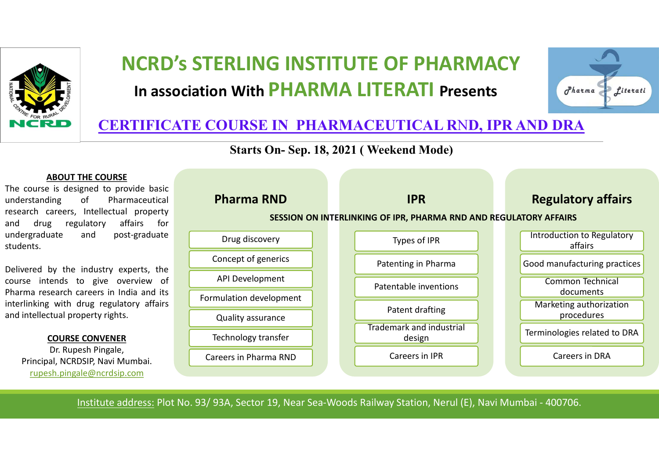

# NCRD's STERLING INSTITUTE OF PHARMACY In association With PHARMA LITERATI Presents and the contract **RLING INSTITUTE OF PHARMACY<br>With PHARMA LITERATI Presents<br>URSE IN-PHARMACEUTICAL RND, IPR AND<br>Starts On- Sep. 18, 2021 ( Weekend Mode)<br>arma RND PRESERIES**



### CERTIFICATE COURSE IN PHARMACEUTICAL RND, IPR AND DRA

#### ABOUT THE COURSE

students.

#### COURSE CONVENER

rupesh.pingale@ncrdsip.com